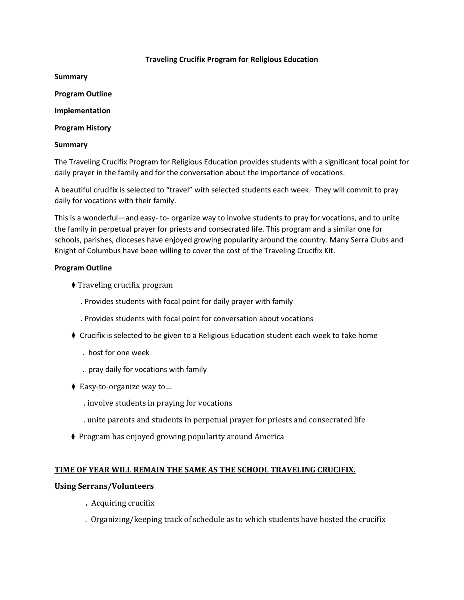#### **Traveling Crucifix Program for Religious Education**

**Summary**

**Program Outline**

**Implementation**

**Program History**

#### **Summary**

**T**he Traveling Crucifix Program for Religious Education provides students with a significant focal point for daily prayer in the family and for the conversation about the importance of vocations.

A beautiful crucifix is selected to "travel" with selected students each week. They will commit to pray daily for vocations with their family.

This is a wonderful—and easy- to- organize way to involve students to pray for vocations, and to unite the family in perpetual prayer for priests and consecrated life. This program and a similar one for schools, parishes, dioceses have enjoyed growing popularity around the country. Many Serra Clubs and Knight of Columbus have been willing to cover the cost of the Traveling Crucifix Kit.

#### **Program Outline**

- **♦ Traveling crucifix program** 
	- . Provides students with focal point for daily prayer with family
	- . Provides students with focal point for conversation about vocations
- ♦ Crucifix is selected to be given to a Religious Education student each week to take home
	- . host for one week
	- . pray daily for vocations with family
- ◆ Easy-to-organize way to...
	- . involve students in praying for vocations
	- . unite parents and students in perpetual prayer for priests and consecrated life
- ◆ Program has enjoyed growing popularity around America

#### **TIME OF YEAR WILL REMAIN THE SAME AS THE SCHOOL TRAVELING CRUCIFIX.**

#### **Using Serrans/Volunteers**

- **.** Acquiring crucifix
- . Organizing/keeping track of schedule as to which students have hosted the crucifix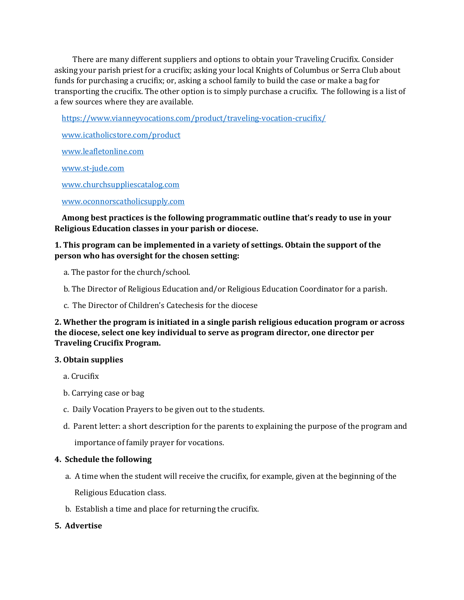There are many different suppliers and options to obtain your Traveling Crucifix. Consider asking your parish priest for a crucifix; asking your local Knights of Columbus or Serra Club about funds for purchasing a crucifix; or, asking a school family to build the case or make a bag for transporting the crucifix. The other option is to simply purchase a crucifix. The following is a list of a few sources where they are available.

<https://www.vianneyvocations.com/product/traveling-vocation-crucifix/>

[www.icatholicstore.com/product](http://www.icatholicstore.com/product)

[www.leafletonline.com](http://www.leafletonline.com/)

[www.st-jude.com](http://www.st-jude.com/)

[www.churchsuppliescatalog.com](http://www.churchsuppliescatalog.com/)

[www.oconnorscatholicsupply.com](http://www.oconnorscatholicsupply.com/)

 **Among best practices is the following programmatic outline that's ready to use in your Religious Education classes in your parish or diocese.**

## **1. This program can be implemented in a variety of settings. Obtain the support of the person who has oversight for the chosen setting:**

- a. The pastor for the church/school.
- b. The Director of Religious Education and/or Religious Education Coordinator for a parish.
- c. The Director of Children's Catechesis for the diocese

## **2. Whether the program is initiated in a single parish religious education program or across the diocese, select one key individual to serve as program director, one director per Traveling Crucifix Program.**

#### **3. Obtain supplies**

- a. Crucifix
- b. Carrying case or bag
- c. Daily Vocation Prayers to be given out to the students.
- d. Parent letter: a short description for the parents to explaining the purpose of the program and importance of family prayer for vocations.

### **4. Schedule the following**

- a. A time when the student will receive the crucifix, for example, given at the beginning of the Religious Education class.
- b. Establish a time and place for returning the crucifix.

### **5. Advertise**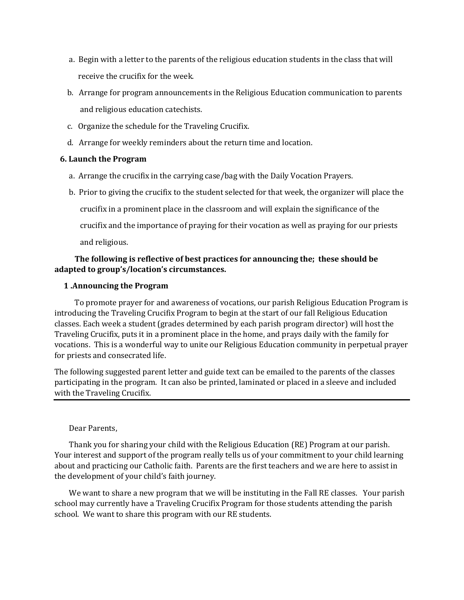- a. Begin with a letter to the parents of the religious education students in the class that will receive the crucifix for the week.
- b. Arrange for program announcements in the Religious Education communication to parents and religious education catechists.
- c. Organize the schedule for the Traveling Crucifix.
- d. Arrange for weekly reminders about the return time and location.

### **6. Launch the Program**

- a. Arrange the crucifix in the carrying case/bag with the Daily Vocation Prayers.
- b. Prior to giving the crucifix to the student selected for that week, the organizer will place the crucifix in a prominent place in the classroom and will explain the significance of the crucifix and the importance of praying for their vocation as well as praying for our priests and religious.

## **The following is reflective of best practices for announcing the; these should be adapted to group's/location's circumstances.**

## **1 .Announcing the Program**

 To promote prayer for and awareness of vocations, our parish Religious Education Program is introducing the Traveling Crucifix Program to begin at the start of our fall Religious Education classes. Each week a student (grades determined by each parish program director) will host the Traveling Crucifix, puts it in a prominent place in the home, and prays daily with the family for vocations. This is a wonderful way to unite our Religious Education community in perpetual prayer for priests and consecrated life.

The following suggested parent letter and guide text can be emailed to the parents of the classes participating in the program. It can also be printed, laminated or placed in a sleeve and included with the Traveling Crucifix.

### Dear Parents,

 Thank you for sharing your child with the Religious Education (RE) Program at our parish. Your interest and support of the program really tells us of your commitment to your child learning about and practicing our Catholic faith. Parents are the first teachers and we are here to assist in the development of your child's faith journey.

We want to share a new program that we will be instituting in the Fall RE classes. Your parish school may currently have a Traveling Crucifix Program for those students attending the parish school. We want to share this program with our RE students.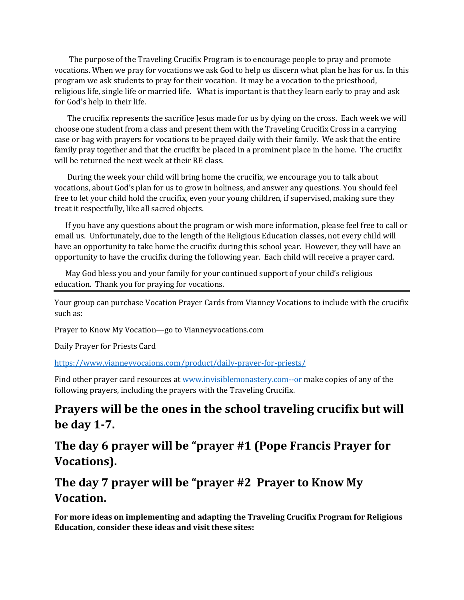The purpose of the Traveling Crucifix Program is to encourage people to pray and promote vocations. When we pray for vocations we ask God to help us discern what plan he has for us. In this program we ask students to pray for their vocation. It may be a vocation to the priesthood, religious life, single life or married life. What is important is that they learn early to pray and ask for God's help in their life.

 The crucifix represents the sacrifice Jesus made for us by dying on the cross. Each week we will choose one student from a class and present them with the Traveling Crucifix Cross in a carrying case or bag with prayers for vocations to be prayed daily with their family. We ask that the entire family pray together and that the crucifix be placed in a prominent place in the home. The crucifix will be returned the next week at their RE class.

 During the week your child will bring home the crucifix, we encourage you to talk about vocations, about God's plan for us to grow in holiness, and answer any questions. You should feel free to let your child hold the crucifix, even your young children, if supervised, making sure they treat it respectfully, like all sacred objects.

 If you have any questions about the program or wish more information, please feel free to call or email us. Unfortunately, due to the length of the Religious Education classes, not every child will have an opportunity to take home the crucifix during this school year. However, they will have an opportunity to have the crucifix during the following year. Each child will receive a prayer card.

 May God bless you and your family for your continued support of your child's religious education. Thank you for praying for vocations.

Your group can purchase Vocation Prayer Cards from Vianney Vocations to include with the crucifix such as:

Prayer to Know My Vocation—go to Vianneyvocations.com

Daily Prayer for Priests Card

<https://www,vianneyvocaions.com/product/daily-prayer-for-priests/>

Find other prayer card resources at [www.invisiblemonastery.com--or](http://www.invisiblemonastery.com--or/) make copies of any of the following prayers, including the prayers with the Traveling Crucifix.

## **Prayers will be the ones in the school traveling crucifix but will be day 1-7.**

**The day 6 prayer will be "prayer #1 (Pope Francis Prayer for Vocations).**

## **The day 7 prayer will be "prayer #2 Prayer to Know My Vocation.**

**For more ideas on implementing and adapting the Traveling Crucifix Program for Religious Education, consider these ideas and visit these sites:**